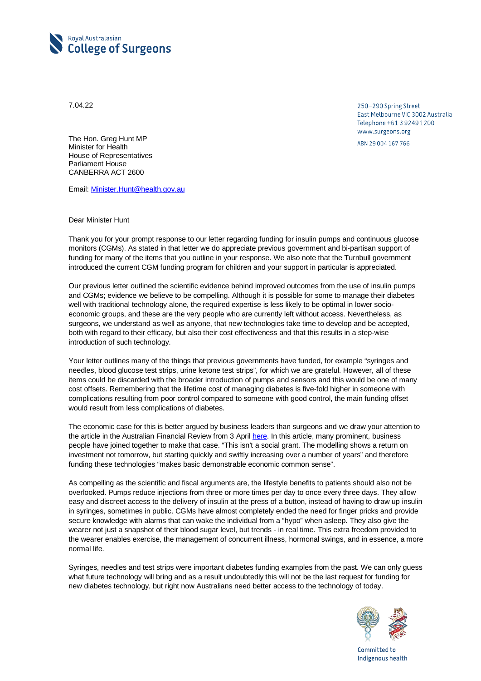

7.04.22

250-290 Spring Street East Melbourne VIC 3002 Australia Telephone +61 3 9249 1200 www.surgeons.org

ABN 29 004 167 766

The Hon. Greg Hunt MP Minister for Health House of Representatives Parliament House CANBERRA ACT 2600

Email[: Minister.Hunt@health.gov.au](mailto:Minister.Hunt@health.gov.au)

## Dear Minister Hunt

Thank you for your prompt response to our letter regarding funding for insulin pumps and continuous glucose monitors (CGMs). As stated in that letter we do appreciate previous government and bi-partisan support of funding for many of the items that you outline in your response. We also note that the Turnbull government introduced the current CGM funding program for children and your support in particular is appreciated.

Our previous letter outlined the scientific evidence behind improved outcomes from the use of insulin pumps and CGMs; evidence we believe to be compelling. Although it is possible for some to manage their diabetes well with traditional technology alone, the required expertise is less likely to be optimal in lower socioeconomic groups, and these are the very people who are currently left without access. Nevertheless, as surgeons, we understand as well as anyone, that new technologies take time to develop and be accepted, both with regard to their efficacy, but also their cost effectiveness and that this results in a step-wise introduction of such technology.

Your letter outlines many of the things that previous governments have funded, for example "syringes and needles, blood glucose test strips, urine ketone test strips", for which we are grateful. However, all of these items could be discarded with the broader introduction of pumps and sensors and this would be one of many cost offsets. Remembering that the lifetime cost of managing diabetes is five-fold higher in someone with complications resulting from poor control compared to someone with good control, the main funding offset would result from less complications of diabetes.

The economic case for this is better argued by business leaders than surgeons and we draw your attention to the article in the Australian Financial Review from 3 April [here.](https://www.afr.com/policy/health-and-education/business-leaders-to-make-diabetes-funding-an-election-issue-20220402-p5aabn) In this article, many prominent, business people have joined together to make that case. "This isn't a social grant. The modelling shows a return on investment not tomorrow, but starting quickly and swiftly increasing over a number of years" and therefore funding these technologies "makes basic demonstrable economic common sense".

As compelling as the scientific and fiscal arguments are, the lifestyle benefits to patients should also not be overlooked. Pumps reduce injections from three or more times per day to once every three days. They allow easy and discreet access to the delivery of insulin at the press of a button, instead of having to draw up insulin in syringes, sometimes in public. CGMs have almost completely ended the need for finger pricks and provide secure knowledge with alarms that can wake the individual from a "hypo" when asleep. They also give the wearer not just a snapshot of their blood sugar level, but trends - in real time. This extra freedom provided to the wearer enables exercise, the management of concurrent illness, hormonal swings, and in essence, a more normal life.

Syringes, needles and test strips were important diabetes funding examples from the past. We can only guess what future technology will bring and as a result undoubtedly this will not be the last request for funding for new diabetes technology, but right now Australians need better access to the technology of today.



Committed to Indigenous health